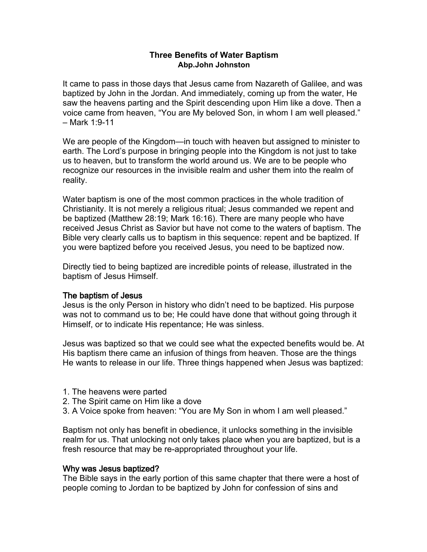## Three Benefits of Water Baptism **Abp.John Johnston**

It came to pass in those days that Jesus came from Nazareth of Galilee, and was baptized by John in the Jordan. And immediately, coming up from the water, He saw the heavens parting and the Spirit descending upon Him like a dove. Then a voice came from heaven, "You are My beloved Son, in whom I am well pleased." – Mark 1:9-11

We are people of the Kingdom—in touch with heaven but assigned to minister to earth. The Lord's purpose in bringing people into the Kingdom is not just to take us to heaven, but to transform the world around us. We are to be people who recognize our resources in the invisible realm and usher them into the realm of reality.

Water baptism is one of the most common practices in the whole tradition of Christianity. It is not merely a religious ritual; Jesus commanded we repent and be baptized (Matthew 28:19; Mark 16:16). There are many people who have received Jesus Christ as Savior but have not come to the waters of baptism. The Bible very clearly calls us to baptism in this sequence: repent and be baptized. If you were baptized before you received Jesus, you need to be baptized now.

Directly tied to being baptized are incredible points of release, illustrated in the baptism of Jesus Himself.

## The baptism of Jesus

Jesus is the only Person in history who didn't need to be baptized. His purpose was not to command us to be; He could have done that without going through it Himself, or to indicate His repentance; He was sinless.

Jesus was baptized so that we could see what the expected benefits would be. At His baptism there came an infusion of things from heaven. Those are the things He wants to release in our life. Three things happened when Jesus was baptized:

- 1. The heavens were parted
- 2. The Spirit came on Him like a dove
- 3. A Voice spoke from heaven: "You are My Son in whom I am well pleased."

Baptism not only has benefit in obedience, it unlocks something in the invisible realm for us. That unlocking not only takes place when you are baptized, but is a fresh resource that may be re-appropriated throughout your life.

## Why was Jesus baptized?

The Bible says in the early portion of this same chapter that there were a host of people coming to Jordan to be baptized by John for confession of sins and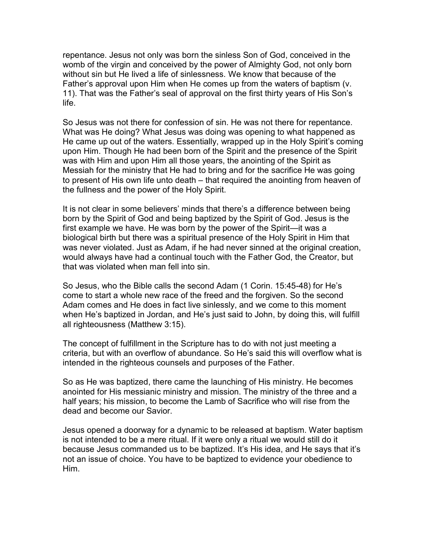repentance. Jesus not only was born the sinless Son of God, conceived in the womb of the virgin and conceived by the power of Almighty God, not only born without sin but He lived a life of sinlessness. We know that because of the Father's approval upon Him when He comes up from the waters of baptism (v. 11). That was the Father's seal of approval on the first thirty years of His Son's life.

So Jesus was not there for confession of sin. He was not there for repentance. What was He doing? What Jesus was doing was opening to what happened as He came up out of the waters. Essentially, wrapped up in the Holy Spirit's coming upon Him. Though He had been born of the Spirit and the presence of the Spirit was with Him and upon Him all those years, the anointing of the Spirit as Messiah for the ministry that He had to bring and for the sacrifice He was going to present of His own life unto death – that required the anointing from heaven of the fullness and the power of the Holy Spirit.

It is not clear in some believers' minds that there's a difference between being born by the Spirit of God and being baptized by the Spirit of God. Jesus is the first example we have. He was born by the power of the Spirit—it was a biological birth but there was a spiritual presence of the Holy Spirit in Him that was never violated. Just as Adam, if he had never sinned at the original creation, would always have had a continual touch with the Father God, the Creator, but that was violated when man fell into sin.

So Jesus, who the Bible calls the second Adam (1 Corin. 15:45-48) for He's come to start a whole new race of the freed and the forgiven. So the second Adam comes and He does in fact live sinlessly, and we come to this moment when He's baptized in Jordan, and He's just said to John, by doing this, will fulfill all righteousness (Matthew 3:15).

The concept of fulfillment in the Scripture has to do with not just meeting a criteria, but with an overflow of abundance. So He's said this will overflow what is intended in the righteous counsels and purposes of the Father.

So as He was baptized, there came the launching of His ministry. He becomes anointed for His messianic ministry and mission. The ministry of the three and a half years; his mission, to become the Lamb of Sacrifice who will rise from the dead and become our Savior.

Jesus opened a doorway for a dynamic to be released at baptism. Water baptism is not intended to be a mere ritual. If it were only a ritual we would still do it because Jesus commanded us to be baptized. It's His idea, and He says that it's not an issue of choice. You have to be baptized to evidence your obedience to Him.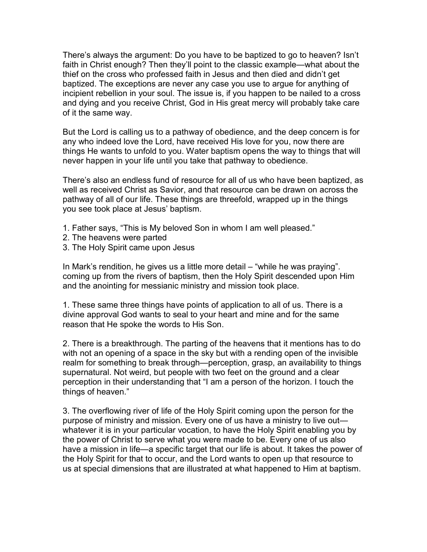There's always the argument: Do you have to be baptized to go to heaven? Isn't faith in Christ enough? Then they'll point to the classic example—what about the thief on the cross who professed faith in Jesus and then died and didn't get baptized. The exceptions are never any case you use to argue for anything of incipient rebellion in your soul. The issue is, if you happen to be nailed to a cross and dying and you receive Christ, God in His great mercy will probably take care of it the same way.

But the Lord is calling us to a pathway of obedience, and the deep concern is for any who indeed love the Lord, have received His love for you, now there are things He wants to unfold to you. Water baptism opens the way to things that will never happen in your life until you take that pathway to obedience.

There's also an endless fund of resource for all of us who have been baptized, as well as received Christ as Savior, and that resource can be drawn on across the pathway of all of our life. These things are threefold, wrapped up in the things you see took place at Jesus' baptism.

- 1. Father says, "This is My beloved Son in whom I am well pleased."
- 2. The heavens were parted
- 3. The Holy Spirit came upon Jesus

In Mark's rendition, he gives us a little more detail – "while he was praying". coming up from the rivers of baptism, then the Holy Spirit descended upon Him and the anointing for messianic ministry and mission took place.

1. These same three things have points of application to all of us. There is a divine approval God wants to seal to your heart and mine and for the same reason that He spoke the words to His Son.

2. There is a breakthrough. The parting of the heavens that it mentions has to do with not an opening of a space in the sky but with a rending open of the invisible realm for something to break through—perception, grasp, an availability to things supernatural. Not weird, but people with two feet on the ground and a clear perception in their understanding that "I am a person of the horizon. I touch the things of heaven."

3. The overflowing river of life of the Holy Spirit coming upon the person for the purpose of ministry and mission. Every one of us have a ministry to live out whatever it is in your particular vocation, to have the Holy Spirit enabling you by the power of Christ to serve what you were made to be. Every one of us also have a mission in life—a specific target that our life is about. It takes the power of the Holy Spirit for that to occur, and the Lord wants to open up that resource to us at special dimensions that are illustrated at what happened to Him at baptism.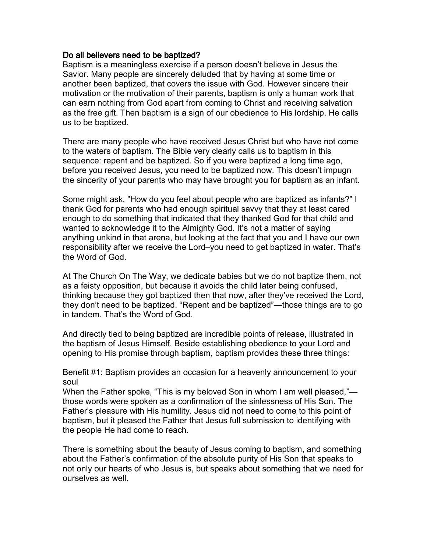## Do all believers need to be baptized?

Baptism is a meaningless exercise if a person doesn't believe in Jesus the Savior. Many people are sincerely deluded that by having at some time or another been baptized, that covers the issue with God. However sincere their motivation or the motivation of their parents, baptism is only a human work that can earn nothing from God apart from coming to Christ and receiving salvation as the free gift. Then baptism is a sign of our obedience to His lordship. He calls us to be baptized.

There are many people who have received Jesus Christ but who have not come to the waters of baptism. The Bible very clearly calls us to baptism in this sequence: repent and be baptized. So if you were baptized a long time ago, before you received Jesus, you need to be baptized now. This doesn't impugn the sincerity of your parents who may have brought you for baptism as an infant.

Some might ask, "How do you feel about people who are baptized as infants?" I thank God for parents who had enough spiritual savvy that they at least cared enough to do something that indicated that they thanked God for that child and wanted to acknowledge it to the Almighty God. It's not a matter of saying anything unkind in that arena, but looking at the fact that you and I have our own responsibility after we receive the Lord–you need to get baptized in water. That's the Word of God.

At The Church On The Way, we dedicate babies but we do not baptize them, not as a feisty opposition, but because it avoids the child later being confused, thinking because they got baptized then that now, after they've received the Lord, they don't need to be baptized. "Repent and be baptized"—those things are to go in tandem. That's the Word of God.

And directly tied to being baptized are incredible points of release, illustrated in the baptism of Jesus Himself. Beside establishing obedience to your Lord and opening to His promise through baptism, baptism provides these three things:

Benefit #1: Baptism provides an occasion for a heavenly announcement to your soul

When the Father spoke, "This is my beloved Son in whom I am well pleased," those words were spoken as a confirmation of the sinlessness of His Son. The Father's pleasure with His humility. Jesus did not need to come to this point of baptism, but it pleased the Father that Jesus full submission to identifying with the people He had come to reach.

There is something about the beauty of Jesus coming to baptism, and something about the Father's confirmation of the absolute purity of His Son that speaks to not only our hearts of who Jesus is, but speaks about something that we need for ourselves as well.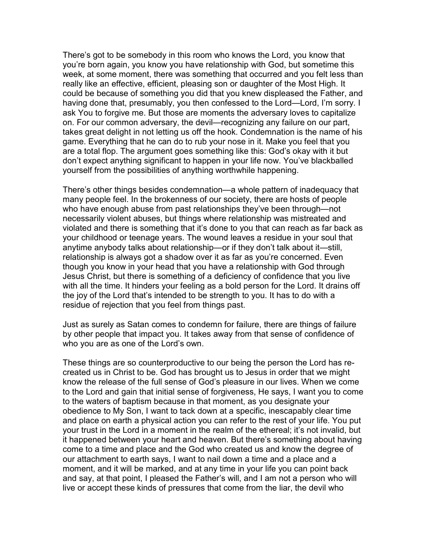There's got to be somebody in this room who knows the Lord, you know that you're born again, you know you have relationship with God, but sometime this week, at some moment, there was something that occurred and you felt less than really like an effective, efficient, pleasing son or daughter of the Most High. It could be because of something you did that you knew displeased the Father, and having done that, presumably, you then confessed to the Lord—Lord, I'm sorry. I ask You to forgive me. But those are moments the adversary loves to capitalize on. For our common adversary, the devil—recognizing any failure on our part, takes great delight in not letting us off the hook. Condemnation is the name of his game. Everything that he can do to rub your nose in it. Make you feel that you are a total flop. The argument goes something like this: God's okay with it but don't expect anything significant to happen in your life now. You've blackballed yourself from the possibilities of anything worthwhile happening.

There's other things besides condemnation—a whole pattern of inadequacy that many people feel. In the brokenness of our society, there are hosts of people who have enough abuse from past relationships they've been through—not necessarily violent abuses, but things where relationship was mistreated and violated and there is something that it's done to you that can reach as far back as your childhood or teenage years. The wound leaves a residue in your soul that anytime anybody talks about relationship—or if they don't talk about it—still, relationship is always got a shadow over it as far as you're concerned. Even though you know in your head that you have a relationship with God through Jesus Christ, but there is something of a deficiency of confidence that you live with all the time. It hinders your feeling as a bold person for the Lord. It drains off the joy of the Lord that's intended to be strength to you. It has to do with a residue of rejection that you feel from things past.

Just as surely as Satan comes to condemn for failure, there are things of failure by other people that impact you. It takes away from that sense of confidence of who you are as one of the Lord's own.

These things are so counterproductive to our being the person the Lord has recreated us in Christ to be. God has brought us to Jesus in order that we might know the release of the full sense of God's pleasure in our lives. When we come to the Lord and gain that initial sense of forgiveness, He says, I want you to come to the waters of baptism because in that moment, as you designate your obedience to My Son, I want to tack down at a specific, inescapably clear time and place on earth a physical action you can refer to the rest of your life. You put your trust in the Lord in a moment in the realm of the ethereal; it's not invalid, but it happened between your heart and heaven. But there's something about having come to a time and place and the God who created us and know the degree of our attachment to earth says, I want to nail down a time and a place and a moment, and it will be marked, and at any time in your life you can point back and say, at that point, I pleased the Father's will, and I am not a person who will live or accept these kinds of pressures that come from the liar, the devil who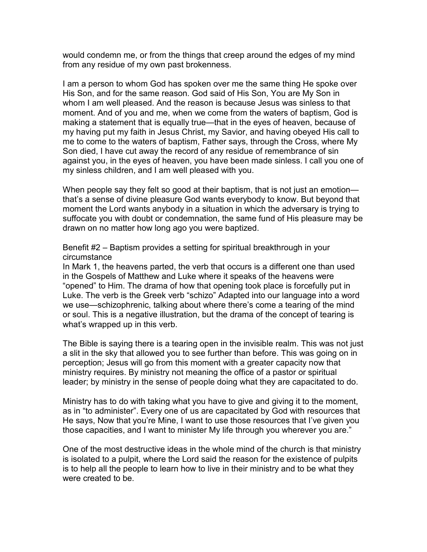would condemn me, or from the things that creep around the edges of my mind from any residue of my own past brokenness.

I am a person to whom God has spoken over me the same thing He spoke over His Son, and for the same reason. God said of His Son, You are My Son in whom I am well pleased. And the reason is because Jesus was sinless to that moment. And of you and me, when we come from the waters of baptism, God is making a statement that is equally true—that in the eyes of heaven, because of my having put my faith in Jesus Christ, my Savior, and having obeyed His call to me to come to the waters of baptism, Father says, through the Cross, where My Son died, I have cut away the record of any residue of remembrance of sin against you, in the eyes of heaven, you have been made sinless. I call you one of my sinless children, and I am well pleased with you.

When people say they felt so good at their baptism, that is not just an emotion that's a sense of divine pleasure God wants everybody to know. But beyond that moment the Lord wants anybody in a situation in which the adversary is trying to suffocate you with doubt or condemnation, the same fund of His pleasure may be drawn on no matter how long ago you were baptized.

Benefit #2 – Baptism provides a setting for spiritual breakthrough in your circumstance

In Mark 1, the heavens parted, the verb that occurs is a different one than used in the Gospels of Matthew and Luke where it speaks of the heavens were "opened" to Him. The drama of how that opening took place is forcefully put in Luke. The verb is the Greek verb "schizo" Adapted into our language into a word we use—schizophrenic, talking about where there's come a tearing of the mind or soul. This is a negative illustration, but the drama of the concept of tearing is what's wrapped up in this verb.

The Bible is saying there is a tearing open in the invisible realm. This was not just a slit in the sky that allowed you to see further than before. This was going on in perception; Jesus will go from this moment with a greater capacity now that ministry requires. By ministry not meaning the office of a pastor or spiritual leader; by ministry in the sense of people doing what they are capacitated to do.

Ministry has to do with taking what you have to give and giving it to the moment, as in "to administer". Every one of us are capacitated by God with resources that He says, Now that you're Mine, I want to use those resources that I've given you those capacities, and I want to minister My life through you wherever you are."

One of the most destructive ideas in the whole mind of the church is that ministry is isolated to a pulpit, where the Lord said the reason for the existence of pulpits is to help all the people to learn how to live in their ministry and to be what they were created to be.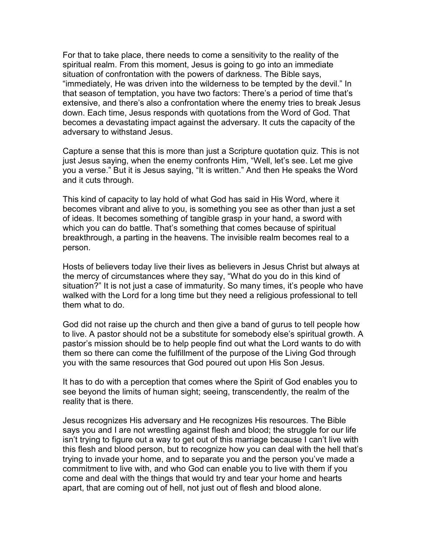For that to take place, there needs to come a sensitivity to the reality of the spiritual realm. From this moment, Jesus is going to go into an immediate situation of confrontation with the powers of darkness. The Bible says, "immediately, He was driven into the wilderness to be tempted by the devil." In that season of temptation, you have two factors: There's a period of time that's extensive, and there's also a confrontation where the enemy tries to break Jesus down. Each time, Jesus responds with quotations from the Word of God. That becomes a devastating impact against the adversary. It cuts the capacity of the adversary to withstand Jesus.

Capture a sense that this is more than just a Scripture quotation quiz. This is not just Jesus saying, when the enemy confronts Him, "Well, let's see. Let me give you a verse." But it is Jesus saying, "It is written." And then He speaks the Word and it cuts through.

This kind of capacity to lay hold of what God has said in His Word, where it becomes vibrant and alive to you, is something you see as other than just a set of ideas. It becomes something of tangible grasp in your hand, a sword with which you can do battle. That's something that comes because of spiritual breakthrough, a parting in the heavens. The invisible realm becomes real to a person.

Hosts of believers today live their lives as believers in Jesus Christ but always at the mercy of circumstances where they say, "What do you do in this kind of situation?" It is not just a case of immaturity. So many times, it's people who have walked with the Lord for a long time but they need a religious professional to tell them what to do.

God did not raise up the church and then give a band of gurus to tell people how to live. A pastor should not be a substitute for somebody else's spiritual growth. A pastor's mission should be to help people find out what the Lord wants to do with them so there can come the fulfillment of the purpose of the Living God through you with the same resources that God poured out upon His Son Jesus.

It has to do with a perception that comes where the Spirit of God enables you to see beyond the limits of human sight; seeing, transcendently, the realm of the reality that is there.

Jesus recognizes His adversary and He recognizes His resources. The Bible says you and I are not wrestling against flesh and blood; the struggle for our life isn't trying to figure out a way to get out of this marriage because I can't live with this flesh and blood person, but to recognize how you can deal with the hell that's trying to invade your home, and to separate you and the person you've made a commitment to live with, and who God can enable you to live with them if you come and deal with the things that would try and tear your home and hearts apart, that are coming out of hell, not just out of flesh and blood alone.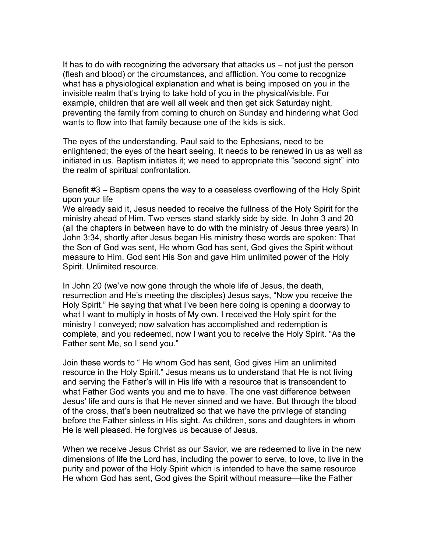It has to do with recognizing the adversary that attacks us – not just the person (flesh and blood) or the circumstances, and affliction. You come to recognize what has a physiological explanation and what is being imposed on you in the invisible realm that's trying to take hold of you in the physical/visible. For example, children that are well all week and then get sick Saturday night, preventing the family from coming to church on Sunday and hindering what God wants to flow into that family because one of the kids is sick.

The eyes of the understanding, Paul said to the Ephesians, need to be enlightened; the eyes of the heart seeing. It needs to be renewed in us as well as initiated in us. Baptism initiates it; we need to appropriate this "second sight" into the realm of spiritual confrontation.

Benefit #3 – Baptism opens the way to a ceaseless overflowing of the Holy Spirit upon your life

We already said it, Jesus needed to receive the fullness of the Holy Spirit for the ministry ahead of Him. Two verses stand starkly side by side. In John 3 and 20 (all the chapters in between have to do with the ministry of Jesus three years) In John 3:34, shortly after Jesus began His ministry these words are spoken: That the Son of God was sent, He whom God has sent, God gives the Spirit without measure to Him. God sent His Son and gave Him unlimited power of the Holy Spirit. Unlimited resource.

In John 20 (we've now gone through the whole life of Jesus, the death, resurrection and He's meeting the disciples) Jesus says, "Now you receive the Holy Spirit." He saying that what I've been here doing is opening a doorway to what I want to multiply in hosts of My own. I received the Holy spirit for the ministry I conveyed; now salvation has accomplished and redemption is complete, and you redeemed, now I want you to receive the Holy Spirit. "As the Father sent Me, so I send you."

Join these words to " He whom God has sent, God gives Him an unlimited resource in the Holy Spirit." Jesus means us to understand that He is not living and serving the Father's will in His life with a resource that is transcendent to what Father God wants you and me to have. The one vast difference between Jesus' life and ours is that He never sinned and we have. But through the blood of the cross, that's been neutralized so that we have the privilege of standing before the Father sinless in His sight. As children, sons and daughters in whom He is well pleased. He forgives us because of Jesus.

When we receive Jesus Christ as our Savior, we are redeemed to live in the new dimensions of life the Lord has, including the power to serve, to love, to live in the purity and power of the Holy Spirit which is intended to have the same resource He whom God has sent, God gives the Spirit without measure—like the Father